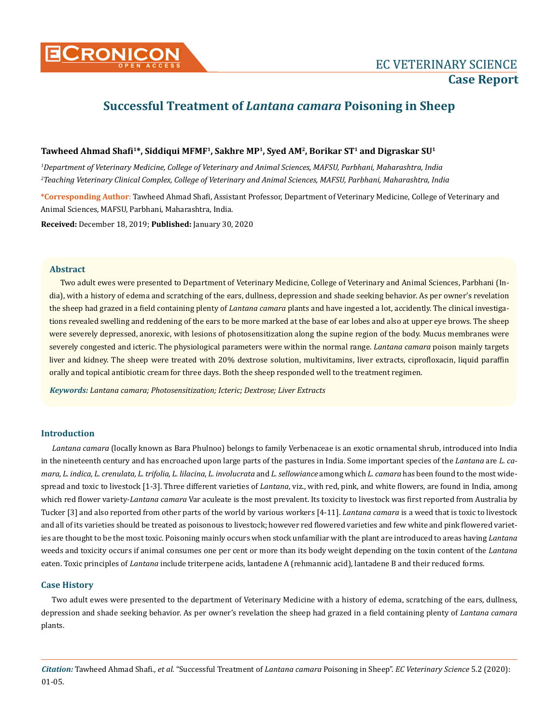# **Successful Treatment of** *Lantana camara* **Poisoning in Sheep**

# **Tawheed Ahmad Shafi1\*, Siddiqui MFMF1, Sakhre MP1, Syed AM2, Borikar ST1 and Digraskar SU1**

*1 Department of Veterinary Medicine, College of Veterinary and Animal Sciences, MAFSU, Parbhani, Maharashtra, India 2 Teaching Veterinary Clinical Complex, College of Veterinary and Animal Sciences, MAFSU, Parbhani, Maharashtra, India*

**\*Corresponding Author**: Tawheed Ahmad Shafi, Assistant Professor, Department of Veterinary Medicine, College of Veterinary and Animal Sciences, MAFSU, Parbhani, Maharashtra, India.

**Received:** December 18, 2019; **Published:** January 30, 2020

#### **Abstract**

Two adult ewes were presented to Department of Veterinary Medicine, College of Veterinary and Animal Sciences, Parbhani (India), with a history of edema and scratching of the ears, dullness, depression and shade seeking behavior. As per owner's revelation the sheep had grazed in a field containing plenty of *Lantana camara* plants and have ingested a lot, accidently. The clinical investigations revealed swelling and reddening of the ears to be more marked at the base of ear lobes and also at upper eye brows. The sheep were severely depressed, anorexic, with lesions of photosensitization along the supine region of the body. Mucus membranes were severely congested and icteric. The physiological parameters were within the normal range. *Lantana camara* poison mainly targets liver and kidney. The sheep were treated with 20% dextrose solution, multivitamins, liver extracts, ciprofloxacin, liquid paraffin orally and topical antibiotic cream for three days. Both the sheep responded well to the treatment regimen.

*Keywords: Lantana camara; Photosensitization; Icteric; Dextrose; Liver Extracts*

### **Introduction**

*Lantana camara* (locally known as Bara Phulnoo) belongs to family Verbenaceae is an exotic ornamental shrub, introduced into India in the nineteenth century and has encroached upon large parts of the pastures in India. Some important species of the *Lantana* are *L. camara, L. indica, L. crenulata, L. trifolia, L. lilacina*, *L. involucrata* and *L. sellowiance* among which *L. camara* has been found to the most widespread and toxic to livestock [1-3]. Three different varieties of *Lantana*, viz., with red, pink, and white flowers, are found in India, among which red flower variety-*Lantana camara* Var aculeate is the most prevalent. Its toxicity to livestock was first reported from Australia by Tucker [3] and also reported from other parts of the world by various workers [4-11]. *Lantana camara* is a weed that is toxic to livestock and all of its varieties should be treated as poisonous to livestock; however red flowered varieties and few white and pink flowered varieties are thought to be the most toxic. Poisoning mainly occurs when stock unfamiliar with the plant are introduced to areas having *Lantana* weeds and toxicity occurs if animal consumes one per cent or more than its body weight depending on the toxin content of the *Lantana* eaten. Toxic principles of *Lantana* include triterpene acids, lantadene A (rehmannic acid), lantadene B and their reduced forms.

### **Case History**

Two adult ewes were presented to the department of Veterinary Medicine with a history of edema, scratching of the ears, dullness, depression and shade seeking behavior. As per owner's revelation the sheep had grazed in a field containing plenty of *Lantana camara*  plants.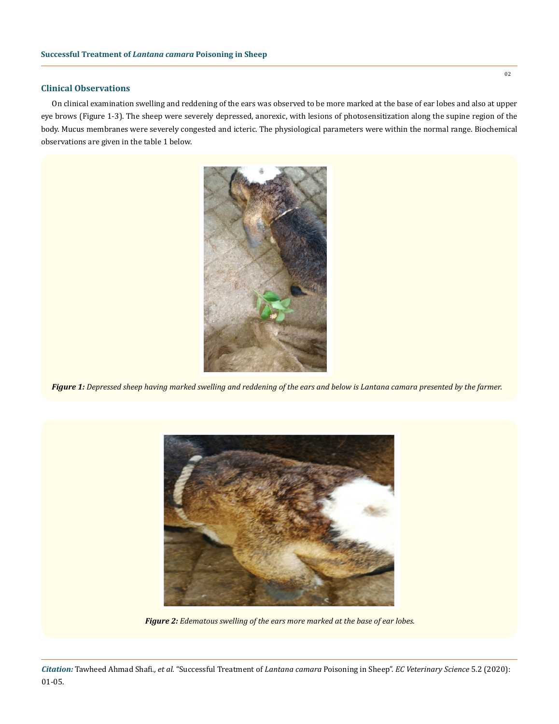# **Clinical Observations**

On clinical examination swelling and reddening of the ears was observed to be more marked at the base of ear lobes and also at upper eye brows (Figure 1-3). The sheep were severely depressed, anorexic, with lesions of photosensitization along the supine region of the body. Mucus membranes were severely congested and icteric. The physiological parameters were within the normal range. Biochemical observations are given in the table 1 below.



*Figure 1: Depressed sheep having marked swelling and reddening of the ears and below is Lantana camara presented by the farmer.*



*Figure 2: Edematous swelling of the ears more marked at the base of ear lobes.*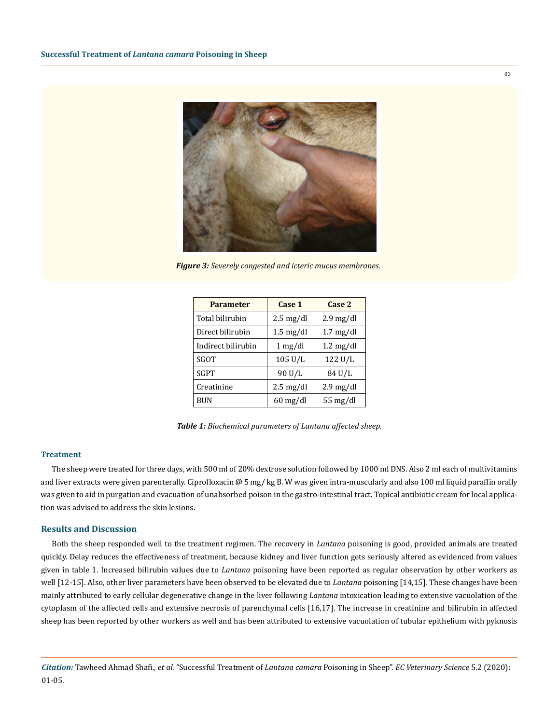

*Figure 3: Severely congested and icteric mucus membranes.*

| <b>Parameter</b>   | Case 1                | Case 2                |
|--------------------|-----------------------|-----------------------|
| Total bilirubin    | $2.5 \text{ mg/dl}$   | $2.9 \text{ mg/dl}$   |
| Direct bilirubin   | $1.5 \text{ mg/dl}$   | $1.7 \text{ mg/dl}$   |
| Indirect bilirubin | $1 \text{ mg/dl}$     | $1.2 \text{ mg/dl}$   |
| SGOT               | $105 \text{ U/L}$     | 122 U/L               |
| SGPT               | 90 U/L                | 84 U/L                |
| Creatinine         | $2.5 \text{ mg/dl}$   | $2.9 \text{ mg/dl}$   |
| BUN                | $60 \,\mathrm{mg/dl}$ | $55 \,\mathrm{mg/dl}$ |

*Table 1: Biochemical parameters of Lantana affected sheep.*

#### **Treatment**

The sheep were treated for three days, with 500 ml of 20% dextrose solution followed by 1000 ml DNS. Also 2 ml each of multivitamins and liver extracts were given parenterally. Ciprofloxacin @ 5 mg/ kg B. W was given intra-muscularly and also 100 ml liquid paraffin orally was given to aid in purgation and evacuation of unabsorbed poison in the gastro-intestinal tract. Topical antibiotic cream for local application was advised to address the skin lesions.

# **Results and Discussion**

Both the sheep responded well to the treatment regimen. The recovery in *Lantana* poisoning is good, provided animals are treated quickly. Delay reduces the effectiveness of treatment, because kidney and liver function gets seriously altered as evidenced from values given in table 1. Increased bilirubin values due to *Lantana* poisoning have been reported as regular observation by other workers as well [12-15]. Also, other liver parameters have been observed to be elevated due to *Lantana* poisoning [14,15]. These changes have been mainly attributed to early cellular degenerative change in the liver following *Lantana* intoxication leading to extensive vacuolation of the cytoplasm of the affected cells and extensive necrosis of parenchymal cells [16,17]. The increase in creatinine and bilirubin in affected sheep has been reported by other workers as well and has been attributed to extensive vacuolation of tubular epithelium with pyknosis

03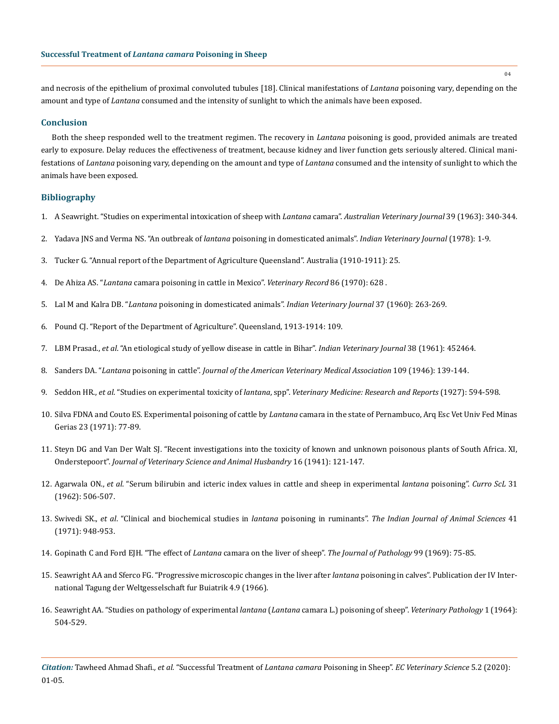and necrosis of the epithelium of proximal convoluted tubules [18]. Clinical manifestations of *Lantana* poisoning vary, depending on the amount and type of *Lantana* consumed and the intensity of sunlight to which the animals have been exposed.

#### **Conclusion**

Both the sheep responded well to the treatment regimen. The recovery in *Lantana* poisoning is good, provided animals are treated early to exposure. Delay reduces the effectiveness of treatment, because kidney and liver function gets seriously altered. Clinical manifestations of *Lantana* poisoning vary, depending on the amount and type of *Lantana* consumed and the intensity of sunlight to which the animals have been exposed.

#### **Bibliography**

- 1. [A Seawright. "Studies on experimental intoxication of sheep with](https://www.researchgate.net/publication/229744673_Studies_on_experimental_intoxication_of_sheep_with_Lantana_camara) *Lantana* camara". *Australian Veterinary Journal* 39 (1963): 340-344.
- 2. Yadava JNS and Verma NS. "An outbreak of *lantana* poisoning in domesticated animals". *Indian Veterinary Journal* (1978): 1-9.
- 3. Tucker G. "Annual report of the Department of Agriculture Queensland". Australia (1910-1911): 25.
- 4. De Ahiza AS. "*Lantana* [camara poisoning in cattle in Mexico".](https://www.ncbi.nlm.nih.gov/pubmed/5452907) *Veterinary Record* 86 (1970): 628 .
- 5. Lal M and Kalra DB. "*Lantana* poisoning in domesticated animals". *Indian Veterinary Journal* 37 (1960): 263-269.
- 6. Pound CJ. "Report of the Department of Agriculture". Queensland, 1913-1914: 109.
- 7. LBM Prasad., *et al*. "An etiological study of yellow disease in cattle in Bihar". *Indian Veterinary Journal* 38 (1961): 452464.
- 8. Sanders DA. "*Lantana* poisoning in cattle". *Journal of the American Veterinary Medical Association* 109 (1946): 139-144.
- 9. Seddon HR., *et al*. "Studies on experimental toxicity of *lantana*, spp". *Veterinary Medicine: Research and Reports* (1927): 594-598.
- 10. Silva FDNA and Couto ES. Experimental poisoning of cattle by *Lantana* camara in the state of Pernambuco, Arq Esc Vet Univ Fed Minas Gerias 23 (1971): 77-89.
- 11. [Steyn DG and Van Der Walt SJ. "Recent investigations into the toxicity of known and unknown poisonous plants of South Africa. XI,](https://www.ncbi.nlm.nih.gov/pubmed/20990777) Onderstepoort". *[Journal of Veterinary Science and Animal Husbandry](https://www.ncbi.nlm.nih.gov/pubmed/20990777)* 16 (1941): 121-147.
- 12. Agarwala ON., *et al*. "Serum bilirubin and icteric index values in cattle and sheep in experimental *lantana* poisoning". *Curro ScL* 31 (1962): 506-507.
- 13. Swivedi SK., *et al*. "Clinical and biochemical studies in *lantana* poisoning in ruminants". *The Indian Journal of Animal Sciences* 41 (1971): 948-953.
- 14. [Gopinath C and Ford EJH. "The effect of](https://www.ncbi.nlm.nih.gov/pubmed/5359225) *Lantana* camara on the liver of sheep". *The Journal of Pathology* 99 (1969): 75-85.
- 15. Seawright AA and Sferco FG. "Progressive microscopic changes in the liver after *lantana* poisoning in calves". Publication der IV International Tagung der Weltgesselschaft fur Buiatrik 4.9 (1966).
- 16. [Seawright AA. "Studies on pathology of experimental](https://www.researchgate.net/publication/258199582_Studies_on_the_Pathology_of_Experimental_Lantana_Lantana_camara_L_Poisoning_of_Sheep) *lantana* (*Lantana* camara L.) poisoning of sheep". *Veterinary Pathology* 1 (1964): [504-529.](https://www.researchgate.net/publication/258199582_Studies_on_the_Pathology_of_Experimental_Lantana_Lantana_camara_L_Poisoning_of_Sheep)